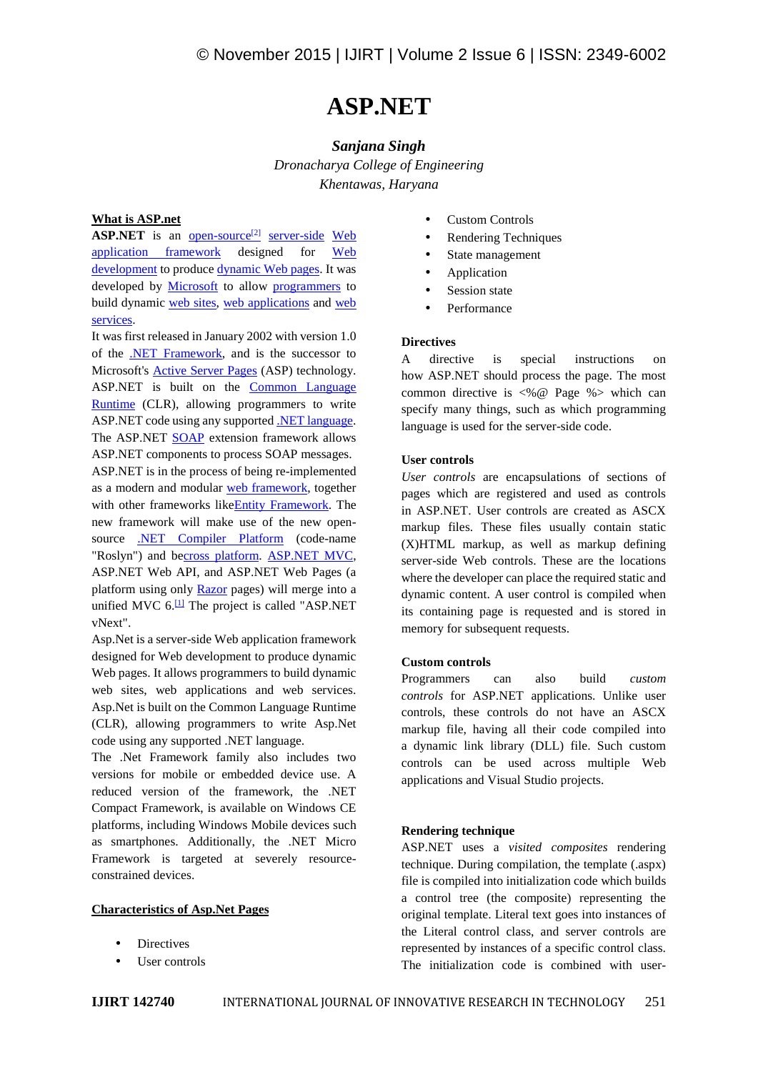# **ASP.NET**

## *Sanjana Singh*

*Dronacharya College of Engineering Khentawas, Haryana*

### **What is ASP.net**

**ASP.NET** is an open-source<sup>[2]</sup> server-side Web application framework designed for Web development to produce dynamic Web pages. It was developed by Microsoft to allow programmers to build dynamic web sites, web applications and web services.

It was first released in January 2002 with version 1.0 of the  $\overline{\text{NET}$  Framework, and is the successor to  $\overline{A}$ Microsoft's Active Server Pages (ASP) technology. ASP.NET is built on the Common Language Runtime (CLR), allowing programmers to write ASP.NET code using any supported .NET language. The ASP.NET **SOAP** extension framework allows ASP.NET components to process SOAP messages. ASP.NET is in the process of being re-implemented as a modern and modular web framework, together with other frameworks likeEntity Framework. The new framework will make use of the new open source .NET Compiler Platform (code-name "Roslyn") and becross platform. ASP.NET MVC, ASP.NET Web API, and ASP.NET Web Pages (a platform using only Razor pages) will merge into a unified MVC  $6.\overline{11}$  The project is called "ASP.NET vNext".

Asp.Net is a server-side Web application framework designed for Web development to produce dynamic Web pages. It allows programmers to build dynamic web sites, web applications and web services. Asp.Net is built on the Common Language Runtime (CLR), allowing programmers to write Asp.Net code using any supported .NET language.

The .Net Framework family also includes two versions for mobile or embedded device use. A reduced version of the framework, the .NET Compact Framework, is available on Windows CE platforms, including Windows Mobile devices such as smartphones. Additionally, the .NET Micro Framework is targeted at severely resource constrained devices.

#### **Characteristics of Asp.Net Pages**

- **Directives**
- User controls
- Custom Controls
- Rendering Techniques
- State management
- Application
- Session state
- Performance

#### **Directives**

directive is special instructions on how ASP.NET should process the page. The most common directive is <%@ Page %> which can specify many things, such as which programming language is used for the server-side code.

#### **User controls**

*User controls* are encapsulations of sections of pages which are registered and used as controls in ASP.NET. User controls are created as ASCX markup files. These files usually contain static (X)HTML markup, as well as markup defining server-side Web controls. These are the locations where the developer can place the required static and dynamic content. A user control is compiled when its containing page is requested and is stored in memory for subsequent requests.

#### **Custom controls**

Programmers can also build *custom controls* for ASP.NET applications. Unlike user controls, these controls do not have an ASCX markup file, having all their code compiled into a dynamic link library (DLL) file. Such custom controls can be used across multiple Web applications and Visual Studio projects.

#### **Rendering technique**

ASP.NET uses a *visited composites* rendering technique. During compilation, the template (.aspx) file is compiled into initialization code which builds a control tree (the composite) representing the original template. Literal text goes into instances of the Literal control class, and server controls are represented by instances of a specific control class. The initialization code is combined with user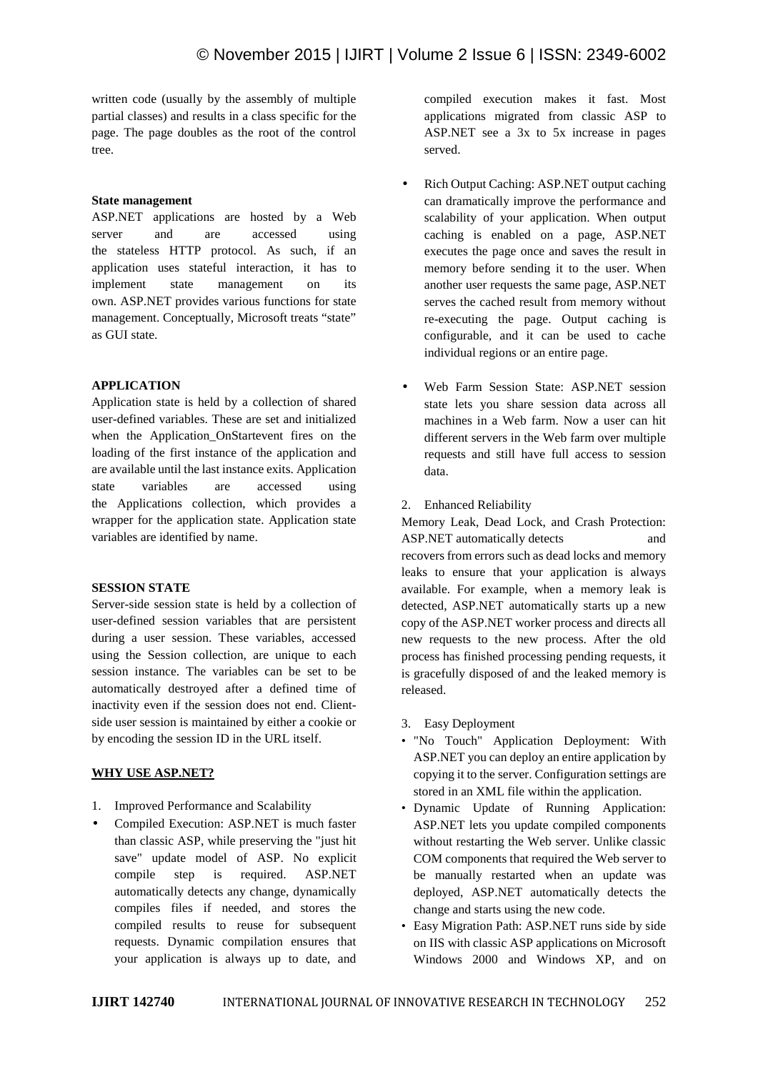written code (usually by the assembly of multiple partial classes) and results in a class specific for the page. The page doubles as the root of the control tree.

#### **State management**

ASP.NET applications are hosted by a Web server and are accessed using the stateless HTTP protocol. As such, if an application uses stateful interaction, it has to implement state management on its own. ASP.NET provides various functions for state management. Conceptually, Microsoft treats "state" as GUI state.

#### **APPLICATION**

Application state is held by a collection of shared user-defined variables. These are set and initialized when the Application\_OnStartevent fires on the loading of the first instance of the application and are available until the last instance exits. Application state variables are accessed using the Applications collection, which provides a wrapper for the application state. Application state variables are identified by name.

#### **SESSION STATE**

Server-side session state is held by a collection of user-defined session variables that are persistent during a user session. These variables, accessed using the Session collection, are unique to each session instance. The variables can be set to be automatically destroyed after a defined time of inactivity even if the session does not end. Client side user session is maintained by either a cookie or by encoding the session ID in the URL itself.

#### **WHY USE ASP.NET?**

- 1. Improved Performance and Scalability
- Compiled Execution: ASP.NET is much faster than classic ASP, while preserving the "just hit save" update model of ASP. No explicit compile step is required. ASP.NET automatically detects any change, dynamically compiles files if needed, and stores the compiled results to reuse for subsequent requests. Dynamic compilation ensures that your application is always up to date, and

compiled execution makes it fast. Most applications migrated from classic ASP to ASP.NET see a 3x to 5x increase in pages served.

- Rich Output Caching: ASP.NET output caching can dramatically improve the performance and scalability of your application. When output caching is enabled on a page, ASP.NET executes the page once and saves the result in memory before sending it to the user. When another user requests the same page, ASP.NET serves the cached result from memory without re-executing the page. Output caching is configurable, and it can be used to cache individual regions or an entire page.
- Web Farm Session State: ASP.NET session state lets you share session data across all machines in a Web farm. Now a user can hit different servers in the Web farm over multiple requests and still have full access to session data.
- 2. Enhanced Reliability

Memory Leak, Dead Lock, and Crash Protection: ASP.NET automatically detects and recovers from errors such as dead locks and memory leaks to ensure that your application is always available. For example, when a memory leak is detected, ASP.NET automatically starts up a new copy of the ASP.NET worker process and directs all new requests to the new process. After the old process has finished processing pending requests, it is gracefully disposed of and the leaked memory is released.

- 3. Easy Deployment
- "No Touch" Application Deployment: With ASP.NET you can deploy an entire application by copying it to the server. Configuration settings are stored in an XML file within the application.
- Dynamic Update of Running Application: ASP.NET lets you update compiled components without restarting the Web server. Unlike classic COM components that required the Web server to be manually restarted when an update was deployed, ASP.NET automatically detects the change and starts using the new code.
- Easy Migration Path: ASP.NET runs side by side on IIS with classic ASP applications on Microsoft Windows 2000 and Windows XP, and on